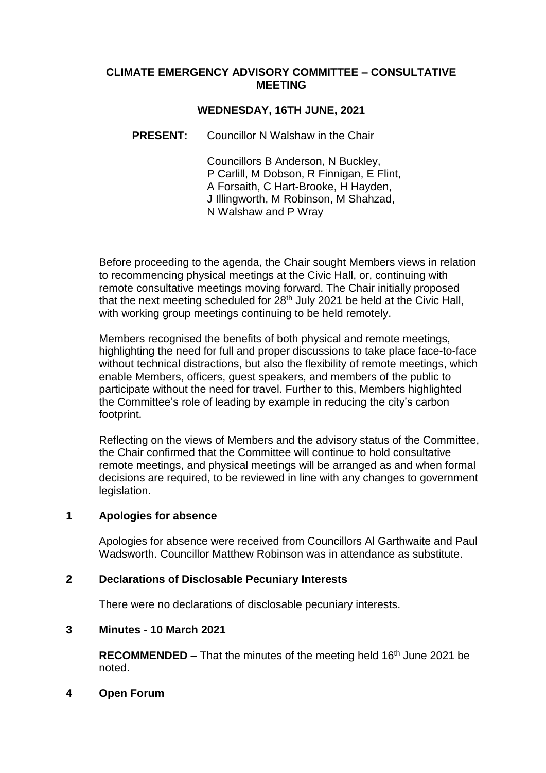#### **CLIMATE EMERGENCY ADVISORY COMMITTEE – CONSULTATIVE MEETING**

# **WEDNESDAY, 16TH JUNE, 2021**

# **PRESENT:** Councillor N Walshaw in the Chair

Councillors B Anderson, N Buckley, P Carlill, M Dobson, R Finnigan, E Flint, A Forsaith, C Hart-Brooke, H Hayden, J Illingworth, M Robinson, M Shahzad, N Walshaw and P Wray

Before proceeding to the agenda, the Chair sought Members views in relation to recommencing physical meetings at the Civic Hall, or, continuing with remote consultative meetings moving forward. The Chair initially proposed that the next meeting scheduled for 28th July 2021 be held at the Civic Hall, with working group meetings continuing to be held remotely.

Members recognised the benefits of both physical and remote meetings, highlighting the need for full and proper discussions to take place face-to-face without technical distractions, but also the flexibility of remote meetings, which enable Members, officers, guest speakers, and members of the public to participate without the need for travel. Further to this, Members highlighted the Committee's role of leading by example in reducing the city's carbon footprint.

Reflecting on the views of Members and the advisory status of the Committee, the Chair confirmed that the Committee will continue to hold consultative remote meetings, and physical meetings will be arranged as and when formal decisions are required, to be reviewed in line with any changes to government legislation.

### **1 Apologies for absence**

Apologies for absence were received from Councillors Al Garthwaite and Paul Wadsworth. Councillor Matthew Robinson was in attendance as substitute.

# **2 Declarations of Disclosable Pecuniary Interests**

There were no declarations of disclosable pecuniary interests.

### **3 Minutes - 10 March 2021**

**RECOMMENDED –** That the minutes of the meeting held 16<sup>th</sup> June 2021 be noted.

### **4 Open Forum**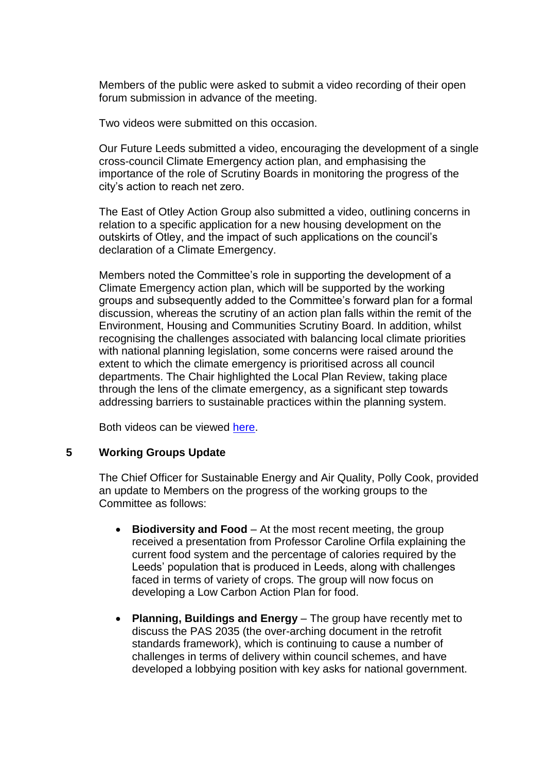Members of the public were asked to submit a video recording of their open forum submission in advance of the meeting.

Two videos were submitted on this occasion.

Our Future Leeds submitted a video, encouraging the development of a single cross-council Climate Emergency action plan, and emphasising the importance of the role of Scrutiny Boards in monitoring the progress of the city's action to reach net zero.

The East of Otley Action Group also submitted a video, outlining concerns in relation to a specific application for a new housing development on the outskirts of Otley, and the impact of such applications on the council's declaration of a Climate Emergency.

Members noted the Committee's role in supporting the development of a Climate Emergency action plan, which will be supported by the working groups and subsequently added to the Committee's forward plan for a formal discussion, whereas the scrutiny of an action plan falls within the remit of the Environment, Housing and Communities Scrutiny Board. In addition, whilst recognising the challenges associated with balancing local climate priorities with national planning legislation, some concerns were raised around the extent to which the climate emergency is prioritised across all council departments. The Chair highlighted the Local Plan Review, taking place through the lens of the climate emergency, as a significant step towards addressing barriers to sustainable practices within the planning system.

Both videos can be viewed [here.](https://www.youtube.com/watch?v=CcPWAXzprXs)

# **5 Working Groups Update**

The Chief Officer for Sustainable Energy and Air Quality, Polly Cook, provided an update to Members on the progress of the working groups to the Committee as follows:

- **Biodiversity and Food** At the most recent meeting, the group received a presentation from Professor Caroline Orfila explaining the current food system and the percentage of calories required by the Leeds' population that is produced in Leeds, along with challenges faced in terms of variety of crops. The group will now focus on developing a Low Carbon Action Plan for food.
- **Planning, Buildings and Energy** The group have recently met to discuss the PAS 2035 (the over-arching document in the retrofit standards framework), which is continuing to cause a number of challenges in terms of delivery within council schemes, and have developed a lobbying position with key asks for national government.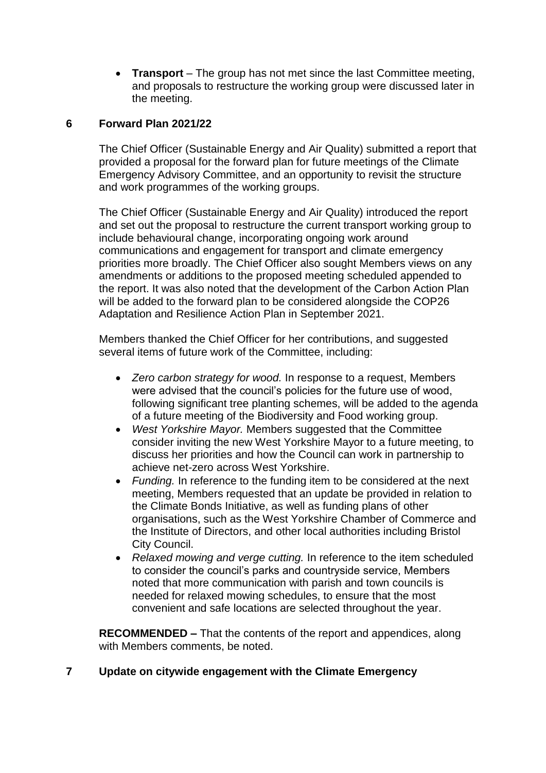**Transport** – The group has not met since the last Committee meeting, and proposals to restructure the working group were discussed later in the meeting.

# **6 Forward Plan 2021/22**

The Chief Officer (Sustainable Energy and Air Quality) submitted a report that provided a proposal for the forward plan for future meetings of the Climate Emergency Advisory Committee, and an opportunity to revisit the structure and work programmes of the working groups.

The Chief Officer (Sustainable Energy and Air Quality) introduced the report and set out the proposal to restructure the current transport working group to include behavioural change, incorporating ongoing work around communications and engagement for transport and climate emergency priorities more broadly. The Chief Officer also sought Members views on any amendments or additions to the proposed meeting scheduled appended to the report. It was also noted that the development of the Carbon Action Plan will be added to the forward plan to be considered alongside the COP26 Adaptation and Resilience Action Plan in September 2021.

Members thanked the Chief Officer for her contributions, and suggested several items of future work of the Committee, including:

- *Zero carbon strategy for wood.* In response to a request, Members were advised that the council's policies for the future use of wood, following significant tree planting schemes, will be added to the agenda of a future meeting of the Biodiversity and Food working group.
- *West Yorkshire Mayor.* Members suggested that the Committee consider inviting the new West Yorkshire Mayor to a future meeting, to discuss her priorities and how the Council can work in partnership to achieve net-zero across West Yorkshire.
- *Funding.* In reference to the funding item to be considered at the next meeting, Members requested that an update be provided in relation to the Climate Bonds Initiative, as well as funding plans of other organisations, such as the West Yorkshire Chamber of Commerce and the Institute of Directors, and other local authorities including Bristol City Council.
- *Relaxed mowing and verge cutting.* In reference to the item scheduled to consider the council's parks and countryside service, Members noted that more communication with parish and town councils is needed for relaxed mowing schedules, to ensure that the most convenient and safe locations are selected throughout the year.

**RECOMMENDED –** That the contents of the report and appendices, along with Members comments, be noted.

# **7 Update on citywide engagement with the Climate Emergency**